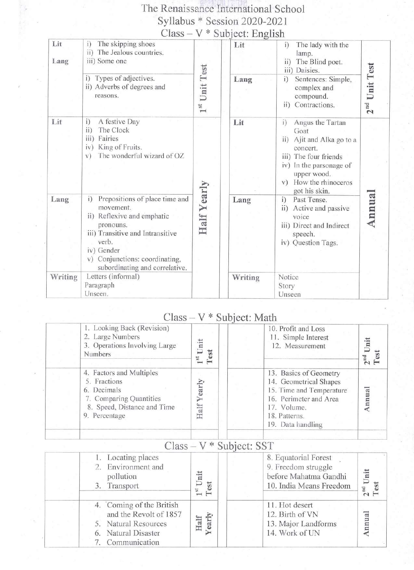# The Renaissance International School Syllabus \* Session 2020-2021<br>Class – V \* Subject: English

| Lit<br>Lang | The skipping shoes<br>i)<br>ii) The Jealous countries.<br>iii) Some one                                                                                                                                                     |                           | Lit     | The lady with the<br>i)<br>lamp.<br>ii)<br>The Blind poet.<br>iii) Daisies.                                                                                                             |                           |  |
|-------------|-----------------------------------------------------------------------------------------------------------------------------------------------------------------------------------------------------------------------------|---------------------------|---------|-----------------------------------------------------------------------------------------------------------------------------------------------------------------------------------------|---------------------------|--|
|             | Types of adjectives.<br>i)<br>ii) Adverbs of degrees and<br>reasons.                                                                                                                                                        | 1 <sup>st</sup> Unit Test | Lang    | i)<br>Sentences: Simple,<br>complex and<br>compound.<br>Contractions.<br>$\overline{11}$                                                                                                | Unit Test<br>$2^{\rm nd}$ |  |
| Lit         | A festive Day<br>i)<br>ii)<br>The Clock<br>Fairies<br>111)<br>King of Fruits.<br>iv)<br>The wonderful wizard of OZ<br>V)                                                                                                    |                           | Lit     | Angus the Tartan<br>i)<br>Goat<br>ii) Ajit and Alka go to a<br>concert.<br>iii) The four friends<br>iv) In the parsonage of<br>upper wood.<br>How the rhinoceros<br>V)<br>got his skin. |                           |  |
| Lang        | Prepositions of place time and<br>i)<br>movement.<br>ii) Reflexive and emphatic<br>pronouns.<br>iii) Transitive and Intransitive<br>verb.<br>iv) Gender<br>v) Conjunctions: coordinating,<br>subordinating and correlative. | Half Yearly               | Lang    | Past Tense.<br>i)<br>Active and passive<br>$\overline{ii}$<br>voice<br>iii) Direct and Indirect<br>speech.<br>iv) Question Tags.                                                        | Annua                     |  |
| Writing     | Letters (informal)<br>Paragraph<br>Unseen.                                                                                                                                                                                  |                           | Writing | Notice<br>Story<br>Unseen                                                                                                                                                               |                           |  |

### $Class - V * Subject: Math$

| 1. Looking Back (Revision)<br>2. Large Numbers<br>3. Operations Involving Large<br>Numbers                                         | Init<br>est<br>51<br>$\overline{\phantom{1}}$ | 10. Profit and Loss<br>11. Simple Interest<br>12. Measurement                                                                                               |  |
|------------------------------------------------------------------------------------------------------------------------------------|-----------------------------------------------|-------------------------------------------------------------------------------------------------------------------------------------------------------------|--|
| 4. Factors and Multiples<br>5. Fractions<br>6. Decimals<br>7. Comparing Quantities<br>8. Speed, Distance and Time<br>9. Percentage | early<br>Half                                 | 13. Basics of Geometry<br>14. Geometrical Shapes<br>15. Time and Temperature<br>16. Perimeter and Area<br>17. Volume.<br>18. Patterns.<br>19. Data handling |  |

|                                                                                                                       | $U$ (d35 = $V$ $U$ $U$ $U$ $U$ $U$ $U$ $U$ $U$ $U$ |                                                                                                 |                         |
|-----------------------------------------------------------------------------------------------------------------------|----------------------------------------------------|-------------------------------------------------------------------------------------------------|-------------------------|
| 1. Locating places<br>2. Environment and<br>pollution<br>3. Transport                                                 | iit<br>est                                         | 8. Equatorial Forest<br>9. Freedom struggle<br>before Mahatma Gandhi<br>10. India Means Freedom | Unit<br>$2nd$ I<br>Test |
| 4. Coming of the British<br>and the Revolt of 1857<br>5. Natural Resources<br>6. Natural Disaster<br>7. Communication | Half<br>Vearly                                     | 11. Hot desert<br>12. Birth of VN<br>13. Major Landforms<br>14. Work of UN                      | mual                    |

#### $\frac{1}{V *$  Subject: SST  $C_{\text{loc}}$